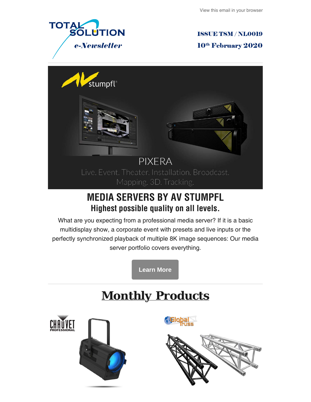

**ISSUE TSM / NL0019** 

10<sup>th</sup> February 2020



## **MEDIA SERVERS BY AV STUMPFL Highest possible quality on all levels.**

What are you expecting from a professional media server? If it is a basic multidisplay show, a corporate event with presets and live inputs or the perfectly synchronized playback of multiple 8K image sequences: Our media server portfolio covers everything.

**[Learn More](https://avstumpfl.com/en/pixera/media-servers/)**

# *Monthly Products*



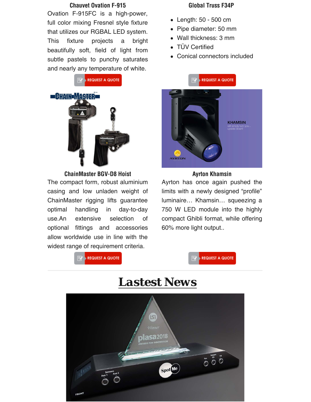### **Chauvet Ovation F-915**

Ovation F-915FC is a high-power, full color mixing Fresnel style fixture that utilizes our RGBAL LED system. This fixture projects a bright beautifully soft, field of light from subtle pastels to punchy saturates and nearly any temperature of white.





**ChainMaster BGV-D8 Hoist**

The compact form, robust aluminium casing and low unladen weight of ChainMaster rigging lifts guarantee optimal handling in day-to-day use.An extensive selection of optional fittings and accessories allow worldwide use in line with the widest range of requirement criteria.

### **Global Truss F34P**

- Length: 50 500 cm
- Pipe diameter: 50 mm
- Wall thickness: 3 mm
- TÜV Certified
- Conical connectors included



### **Ayrton Khamsin**

Ayrton has once again pushed the limits with a newly designed "profile" luminaire… Khamsin… squeezing a 750 W LED module into the highly compact Ghibli format, while offering 60% more light output..





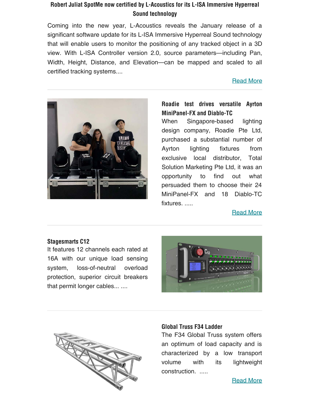## **Robert Juliat SpotMe now certified by L-Acoustics for its L-ISA Immersive Hyperreal Sound technology**

Coming into the new year, L-Acoustics reveals the January release of a significant software update for its L-ISA Immersive Hyperreal Sound technology that will enable users to monitor the positioning of any tracked object in a 3D view. With L-ISA Controller version 2.0, source parameters—including Pan, Width, Height, Distance, and Elevation—can be mapped and scaled to all certified tracking systems....

## [Read More](https://www.robertjuliat.com/archives/2020/Robert_Juliat_SpotMe_now_certified_by_L-Acoustics_for_its_L-ISA_Immersive_Hyperreal_Sound_technology?fbclid=IwAR1pbQj9UHYNpY0pwFs0QWEWAmzHV9AHogOBvnFJfVrTwYv4kY0uvThKpfI#.XiAHpCgzaUl)



## **Roadie test drives versatile Ayrton MiniPanel-FX and Diablo-TC**

When Singapore-based lighting design company, Roadie Pte Ltd, purchased a substantial number of Ayrton lighting fixtures from exclusive local distributor, Total Solution Marketing Pte Ltd, it was an opportunity to find out what persuaded them to choose their 24 MiniPanel-FX and 18 Diablo-TC fixtures. .....

Read More

## **Stagesmarts C12**

It features 12 channels each rated at 16A with our unique load sensing system, loss-of-neutral overload protection, superior circuit breakers that permit longer cables... ....





## **Global Truss F34 Ladder**

The F34 Global Truss system offers an optimum of load capacity and is characterized by a low transport volume with its lightweight construction. .....